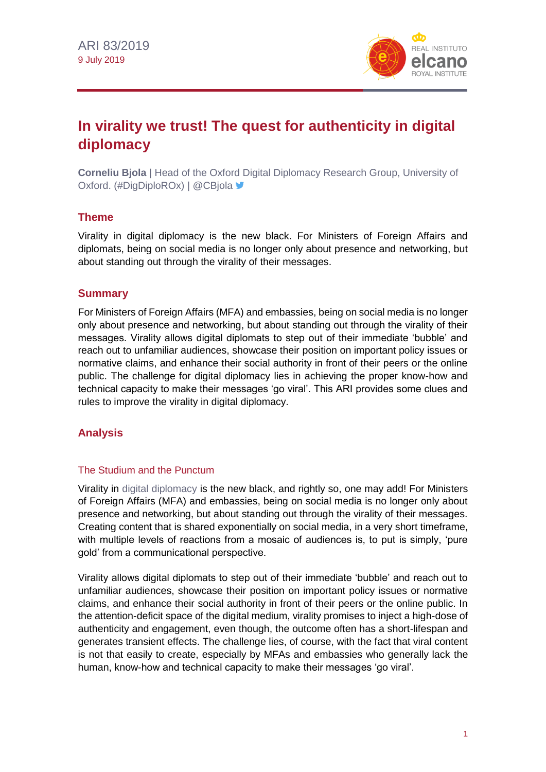

# **In virality we trust! The quest for authenticity in digital diplomacy**

**Corneliu Bjola** | Head of the Oxford Digital Diplomacy Research Group, University of Oxford. (#DigDiploROx) | @CBjola ■

## **Theme**

Virality in digital diplomacy is the new black. For Ministers of Foreign Affairs and diplomats, being on social media is no longer only about presence and networking, but about standing out through the virality of their messages.

## **Summary**

For Ministers of Foreign Affairs (MFA) and embassies, being on social media is no longer only about presence and networking, but about standing out through the virality of their messages. Virality allows digital diplomats to step out of their immediate 'bubble' and reach out to unfamiliar audiences, showcase their position on important policy issues or normative claims, and enhance their social authority in front of their peers or the online public. The challenge for digital diplomacy lies in achieving the proper know-how and technical capacity to make their messages 'go viral'. This ARI provides some clues and rules to improve the virality in digital diplomacy.

## **Analysis**

## The Studium and the Punctum

Virality in [digital diplomacy](http://www.realinstitutoelcano.org/wps/portal/rielcano_en/contenido?WCM_GLOBAL_CONTEXT=/elcano/elcano_in/zonas_in/cybersecurity/ari113-2018-bjola-diplomacy-digital-age) is the new black, and rightly so, one may add! For Ministers of Foreign Affairs (MFA) and embassies, being on social media is no longer only about presence and networking, but about standing out through the virality of their messages. Creating content that is shared exponentially on social media, in a very short timeframe, with multiple levels of reactions from a mosaic of audiences is, to put is simply, 'pure gold' from a communicational perspective.

Virality allows digital diplomats to step out of their immediate 'bubble' and reach out to unfamiliar audiences, showcase their position on important policy issues or normative claims, and enhance their social authority in front of their peers or the online public. In the attention-deficit space of the digital medium, virality promises to inject a high-dose of authenticity and engagement, even though, the outcome often has a short-lifespan and generates transient effects. The challenge lies, of course, with the fact that viral content is not that easily to create, especially by MFAs and embassies who generally lack the human, know-how and technical capacity to make their messages 'go viral'.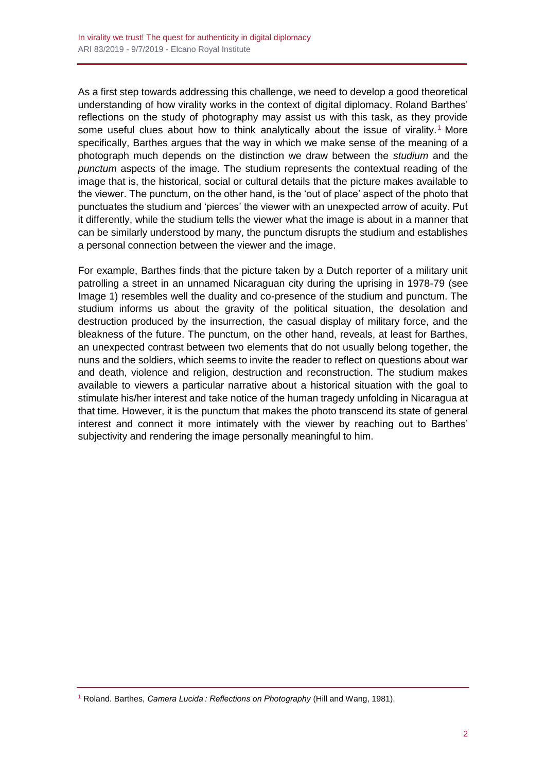As a first step towards addressing this challenge, we need to develop a good theoretical understanding of how virality works in the context of digital diplomacy. Roland Barthes' reflections on the study of photography may assist us with this task, as they provide some useful clues about how to think analytically about the issue of virality.<sup>1</sup> More specifically, Barthes argues that the way in which we make sense of the meaning of a photograph much depends on the distinction we draw between the *studium* and the *punctum* aspects of the image. The studium represents the contextual reading of the image that is, the historical, social or cultural details that the picture makes available to the viewer. The punctum, on the other hand, is the 'out of place' aspect of the photo that punctuates the studium and 'pierces' the viewer with an unexpected arrow of acuity. Put it differently, while the studium tells the viewer what the image is about in a manner that can be similarly understood by many, the punctum disrupts the studium and establishes a personal connection between the viewer and the image.

For example, Barthes finds that the picture taken by a Dutch reporter of a military unit patrolling a street in an unnamed Nicaraguan city during the uprising in 1978-79 (see Image 1) resembles well the duality and co-presence of the studium and punctum. The studium informs us about the gravity of the political situation, the desolation and destruction produced by the insurrection, the casual display of military force, and the bleakness of the future. The punctum, on the other hand, reveals, at least for Barthes, an unexpected contrast between two elements that do not usually belong together, the nuns and the soldiers, which seems to invite the reader to reflect on questions about war and death, violence and religion, destruction and reconstruction. The studium makes available to viewers a particular narrative about a historical situation with the goal to stimulate his/her interest and take notice of the human tragedy unfolding in Nicaragua at that time. However, it is the punctum that makes the photo transcend its state of general interest and connect it more intimately with the viewer by reaching out to Barthes' subjectivity and rendering the image personally meaningful to him.

<sup>1</sup> Roland. Barthes, *Camera Lucida : Reflections on Photography* (Hill and Wang, 1981).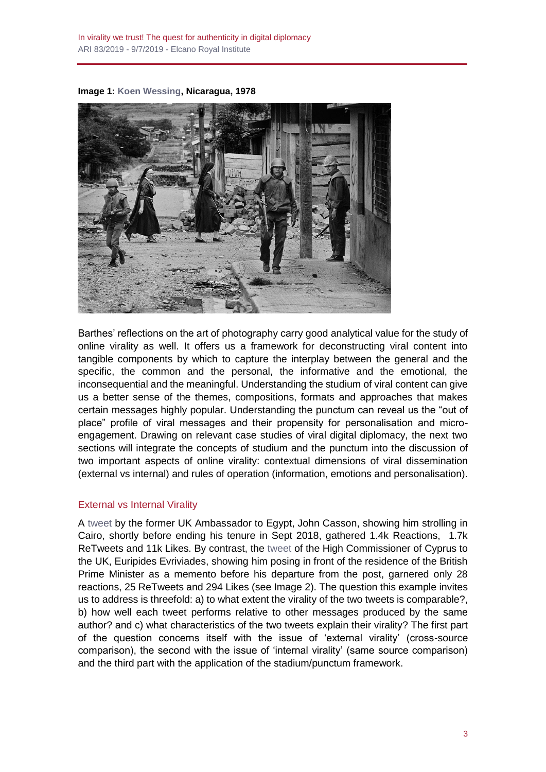**Image 1: [Koen Wessing,](http://www.jeudepaume.org/index.php?page=article&idArt=3383) Nicaragua, 1978**



Barthes' reflections on the art of photography carry good analytical value for the study of online virality as well. It offers us a framework for deconstructing viral content into tangible components by which to capture the interplay between the general and the specific, the common and the personal, the informative and the emotional, the inconsequential and the meaningful. Understanding the studium of viral content can give us a better sense of the themes, compositions, formats and approaches that makes certain messages highly popular. Understanding the punctum can reveal us the "out of place" profile of viral messages and their propensity for personalisation and microengagement. Drawing on relevant case studies of viral digital diplomacy, the next two sections will integrate the concepts of studium and the punctum into the discussion of two important aspects of online virality: contextual dimensions of viral dissemination (external vs internal) and rules of operation (information, emotions and personalisation).

### External vs Internal Virality

A [tweet](https://twitter.com/JohnCassonUK/status/1035566753378648064) by the former UK Ambassador to Egypt, John Casson, showing him strolling in Cairo, shortly before ending his tenure in Sept 2018, gathered 1.4k Reactions, 1.7k ReTweets and 11k Likes. By contrast, the [tweet](https://twitter.com/eevriviades/status/1138921028325990407) of the High Commissioner of Cyprus to the UK, Euripides Evriviades, showing him posing in front of the residence of the British Prime Minister as a memento before his departure from the post, garnered only 28 reactions, 25 ReTweets and 294 Likes (see Image 2). The question this example invites us to address is threefold: a) to what extent the virality of the two tweets is comparable?, b) how well each tweet performs relative to other messages produced by the same author? and c) what characteristics of the two tweets explain their virality? The first part of the question concerns itself with the issue of 'external virality' (cross-source comparison), the second with the issue of 'internal virality' (same source comparison) and the third part with the application of the stadium/punctum framework.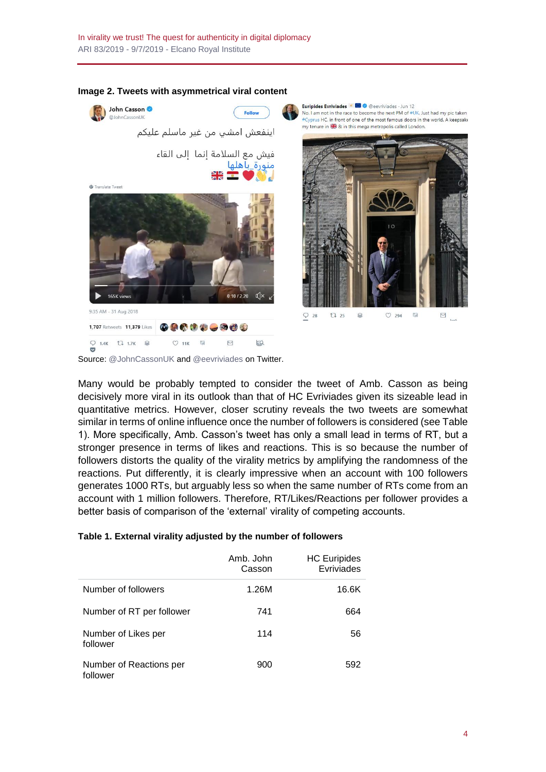

#### **Image 2. Tweets with asymmetrical viral content**

Source: [@JohnCassonUK](https://twitter.com/JohnCassonUK/status/1035566753378648064) and [@eevriviades](https://twitter.com/eevriviades/status/1138921028325990407) on Twitter.

Many would be probably tempted to consider the tweet of Amb. Casson as being decisively more viral in its outlook than that of HC Evriviades given its sizeable lead in quantitative metrics. However, closer scrutiny reveals the two tweets are somewhat similar in terms of online influence once the number of followers is considered (see Table 1). More specifically, Amb. Casson's tweet has only a small lead in terms of RT, but a stronger presence in terms of likes and reactions. This is so because the number of followers distorts the quality of the virality metrics by amplifying the randomness of the reactions. Put differently, it is clearly impressive when an account with 100 followers generates 1000 RTs, but arguably less so when the same number of RTs come from an account with 1 million followers. Therefore, RT/Likes/Reactions per follower provides a better basis of comparison of the 'external' virality of competing accounts.

|  |  |  |  | Table 1. External virality adjusted by the number of followers |
|--|--|--|--|----------------------------------------------------------------|
|  |  |  |  |                                                                |

|                                     | Amb. John<br>Casson | <b>HC Euripides</b><br>Evriviades |
|-------------------------------------|---------------------|-----------------------------------|
| Number of followers                 | 1.26M               | 16.6K                             |
| Number of RT per follower           | 741                 | 664                               |
| Number of Likes per<br>follower     | 114                 | 56                                |
| Number of Reactions per<br>follower | 900                 | 592                               |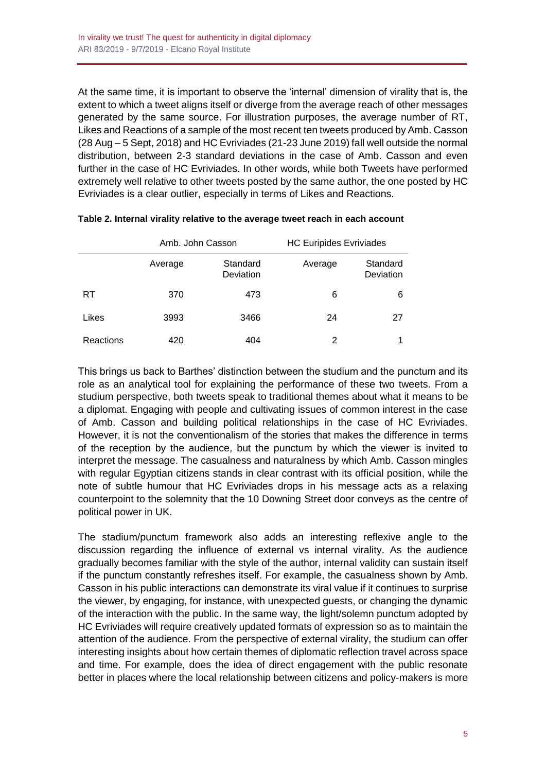At the same time, it is important to observe the 'internal' dimension of virality that is, the extent to which a tweet aligns itself or diverge from the average reach of other messages generated by the same source. For illustration purposes, the average number of RT, Likes and Reactions of a sample of the most recent ten tweets produced by Amb. Casson (28 Aug – 5 Sept, 2018) and HC Evriviades (21-23 June 2019) fall well outside the normal distribution, between 2-3 standard deviations in the case of Amb. Casson and even further in the case of HC Evriviades. In other words, while both Tweets have performed extremely well relative to other tweets posted by the same author, the one posted by HC Evriviades is a clear outlier, especially in terms of Likes and Reactions.

|           | Amb. John Casson |                       | <b>HC Euripides Evriviades</b> |                       |  |
|-----------|------------------|-----------------------|--------------------------------|-----------------------|--|
|           | Average          | Standard<br>Deviation | Average                        | Standard<br>Deviation |  |
| RT        | 370              | 473                   | 6                              | 6                     |  |
| Likes     | 3993             | 3466                  | 24                             | -27                   |  |
| Reactions | 420              | 404                   | 2                              |                       |  |

## **Table 2. Internal virality relative to the average tweet reach in each account**

This brings us back to Barthes' distinction between the studium and the punctum and its role as an analytical tool for explaining the performance of these two tweets. From a studium perspective, both tweets speak to traditional themes about what it means to be a diplomat. Engaging with people and cultivating issues of common interest in the case of Amb. Casson and building political relationships in the case of HC Evriviades. However, it is not the conventionalism of the stories that makes the difference in terms of the reception by the audience, but the punctum by which the viewer is invited to interpret the message. The casualness and naturalness by which Amb. Casson mingles with regular Egyptian citizens stands in clear contrast with its official position, while the note of subtle humour that HC Evriviades drops in his message acts as a relaxing counterpoint to the solemnity that the 10 Downing Street door conveys as the centre of political power in UK.

The stadium/punctum framework also adds an interesting reflexive angle to the discussion regarding the influence of external vs internal virality. As the audience gradually becomes familiar with the style of the author, internal validity can sustain itself if the punctum constantly refreshes itself. For example, the casualness shown by Amb. Casson in his public interactions can demonstrate its viral value if it continues to surprise the viewer, by engaging, for instance, with unexpected guests, or changing the dynamic of the interaction with the public. In the same way, the light/solemn punctum adopted by HC Evriviades will require creatively updated formats of expression so as to maintain the attention of the audience. From the perspective of external virality, the studium can offer interesting insights about how certain themes of diplomatic reflection travel across space and time. For example, does the idea of direct engagement with the public resonate better in places where the local relationship between citizens and policy-makers is more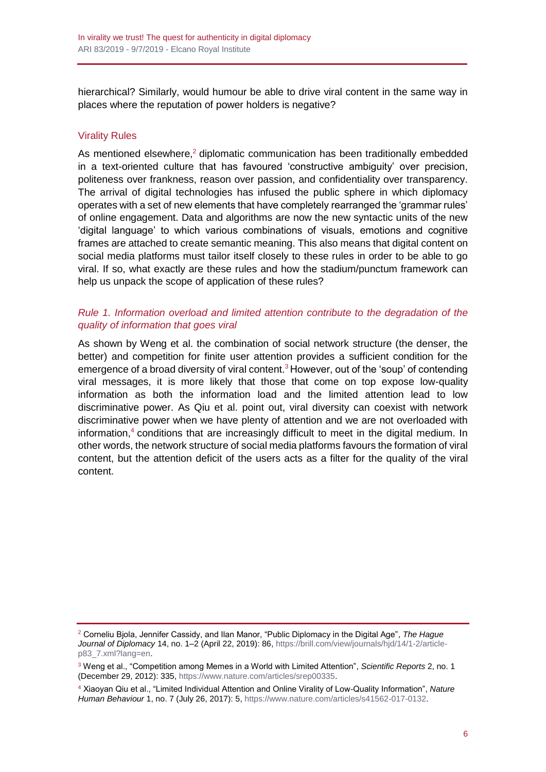hierarchical? Similarly, would humour be able to drive viral content in the same way in places where the reputation of power holders is negative?

## Virality Rules

As mentioned elsewhere, $2$  diplomatic communication has been traditionally embedded in a text-oriented culture that has favoured 'constructive ambiguity' over precision, politeness over frankness, reason over passion, and confidentiality over transparency. The arrival of digital technologies has infused the public sphere in which diplomacy operates with a set of new elements that have completely rearranged the 'grammar rules' of online engagement. Data and algorithms are now the new syntactic units of the new 'digital language' to which various combinations of visuals, emotions and cognitive frames are attached to create semantic meaning. This also means that digital content on social media platforms must tailor itself closely to these rules in order to be able to go viral. If so, what exactly are these rules and how the stadium/punctum framework can help us unpack the scope of application of these rules?

## *Rule 1. Information overload and limited attention contribute to the degradation of the quality of information that goes viral*

As shown by Weng et al. the combination of social network structure (the denser, the better) and competition for finite user attention provides a sufficient condition for the emergence of a broad diversity of viral content.<sup>3</sup> However, out of the 'soup' of contending viral messages, it is more likely that those that come on top expose low-quality information as both the information load and the limited attention lead to low discriminative power. As Qiu et al. point out, viral diversity can coexist with network discriminative power when we have plenty of attention and we are not overloaded with information,<sup>4</sup> conditions that are increasingly difficult to meet in the digital medium. In other words, the network structure of social media platforms favours the formation of viral content, but the attention deficit of the users acts as a filter for the quality of the viral content.

<sup>2</sup> Corneliu Bjola, Jennifer Cassidy, and Ilan Manor, "Public Diplomacy in the Digital Age", *The Hague Journal of Diplomacy* 14, no. 1–2 (April 22, 2019): 86[, https://brill.com/view/journals/hjd/14/1-2/article](https://brill.com/view/journals/hjd/14/1-2/article-p83_7.xml?lang=en)[p83\\_7.xml?lang=en.](https://brill.com/view/journals/hjd/14/1-2/article-p83_7.xml?lang=en)

<sup>3</sup> Weng et al., "Competition among Memes in a World with Limited Attention", *Scientific Reports* 2, no. 1 (December 29, 2012): 335, [https://www.nature.com/articles/srep00335.](https://www.nature.com/articles/srep00335)

<sup>4</sup> Xiaoyan Qiu et al., "Limited Individual Attention and Online Virality of Low-Quality Information", *Nature Human Behaviour* 1, no. 7 (July 26, 2017): 5[, https://www.nature.com/articles/s41562-017-0132.](https://www.nature.com/articles/s41562-017-0132)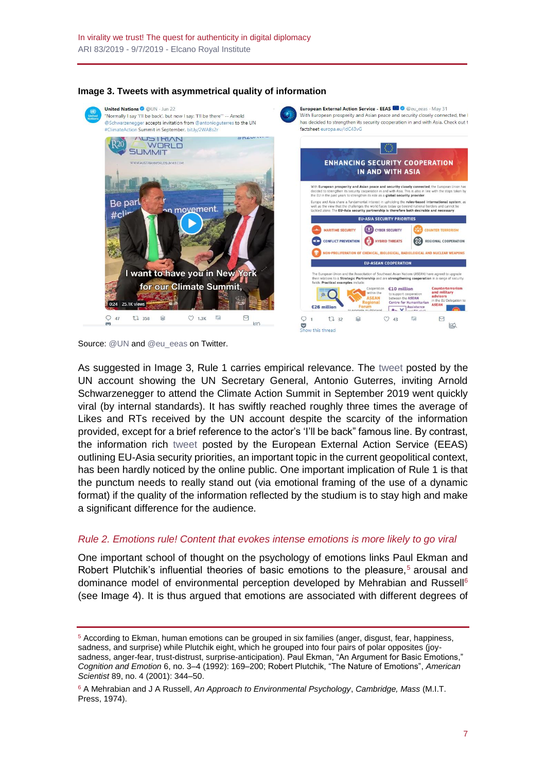

#### **Image 3. Tweets with asymmetrical quality of information**

Source[: @UN](https://twitter.com/UN/status/1142372405345751040) an[d @eu\\_eeas](https://twitter.com/eu_eeas/status/1134384253192593408) on Twitter.

As suggested in Image 3, Rule 1 carries empirical relevance. The [tweet](https://twitter.com/UN/status/1142372405345751040) posted by the UN account showing the UN Secretary General, Antonio Guterres, inviting Arnold Schwarzenegger to attend the Climate Action Summit in September 2019 went quickly viral (by internal standards). It has swiftly reached roughly three times the average of Likes and RTs received by the UN account despite the scarcity of the information provided, except for a brief reference to the actor's 'I'll be back" famous line. By contrast, the information rich [tweet](https://twitter.com/eu_eeas/status/1134384253192593408) posted by the European External Action Service (EEAS) outlining EU-Asia security priorities, an important topic in the current geopolitical context, has been hardly noticed by the online public. One important implication of Rule 1 is that the punctum needs to really stand out (via emotional framing of the use of a dynamic format) if the quality of the information reflected by the studium is to stay high and make a significant difference for the audience.

### *Rule 2. Emotions rule! Content that evokes intense emotions is more likely to go viral*

One important school of thought on the psychology of emotions links Paul Ekman and Robert Plutchik's influential theories of basic emotions to the pleasure,<sup>5</sup> arousal and dominance model of environmental perception developed by Mehrabian and Russell<sup>6</sup> (see Image 4). It is thus argued that emotions are associated with different degrees of

<sup>5</sup> According to Ekman, human emotions can be grouped in six families (anger, disgust, fear, happiness, sadness, and surprise) while Plutchik eight, which he grouped into four pairs of polar opposites (joysadness, anger-fear, trust-distrust, surprise-anticipation). Paul Ekman, "An Argument for Basic Emotions," *Cognition and Emotion* 6, no. 3–4 (1992): 169–200; Robert Plutchik, "The Nature of Emotions", *American Scientist* 89, no. 4 (2001): 344–50.

<sup>6</sup> A Mehrabian and J A Russell, *An Approach to Environmental Psychology*, *Cambridge, Mass* (M.I.T. Press, 1974).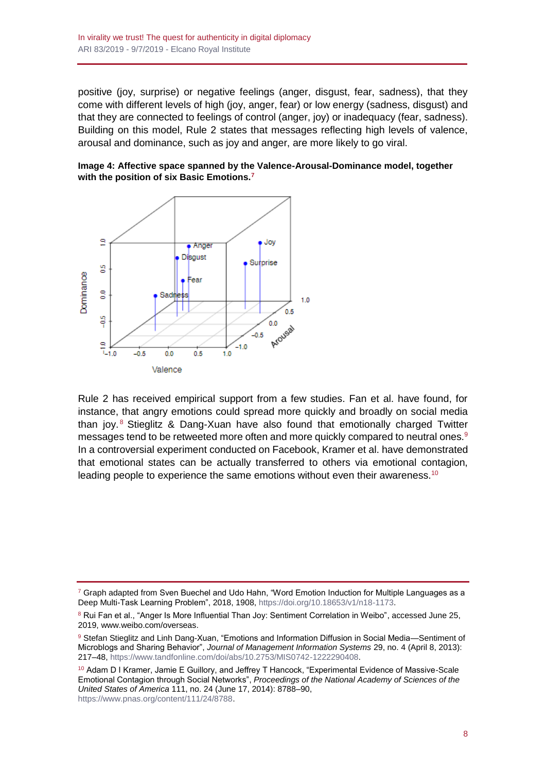positive (joy, surprise) or negative feelings (anger, disgust, fear, sadness), that they come with different levels of high (joy, anger, fear) or low energy (sadness, disgust) and that they are connected to feelings of control (anger, joy) or inadequacy (fear, sadness). Building on this model, Rule 2 states that messages reflecting high levels of valence, arousal and dominance, such as joy and anger, are more likely to go viral.





Rule 2 has received empirical support from a few studies. Fan et al. have found, for instance, that angry emotions could spread more quickly and broadly on social media than joy.<sup>8</sup> Stieglitz & Dang-Xuan have also found that emotionally charged Twitter messages tend to be retweeted more often and more quickly compared to neutral ones.<sup>9</sup> In a controversial experiment conducted on Facebook, Kramer et al. have demonstrated that emotional states can be actually transferred to others via emotional contagion, leading people to experience the same emotions without even their awareness.<sup>10</sup>

 $7$  Graph adapted from Sven Buechel and Udo Hahn, "Word Emotion Induction for Multiple Languages as a Deep Multi-Task Learning Problem", 2018, 1908, [https://doi.org/10.18653/v1/n18-1173.](https://doi.org/10.18653/v1/n18-1173)

<sup>&</sup>lt;sup>8</sup> Rui Fan et al., "Anger Is More Influential Than Joy: Sentiment Correlation in Weibo", accessed June 25, 2019, www.weibo.com/overseas.

<sup>9</sup> Stefan Stieglitz and Linh Dang-Xuan, "Emotions and Information Diffusion in Social Media—Sentiment of Microblogs and Sharing Behavior", *Journal of Management Information Systems* 29, no. 4 (April 8, 2013): 217–48, [https://www.tandfonline.com/doi/abs/10.2753/MIS0742-1222290408.](https://www.tandfonline.com/doi/abs/10.2753/MIS0742-1222290408)

<sup>&</sup>lt;sup>10</sup> Adam D I Kramer, Jamie E Guillory, and Jeffrey T Hancock, "Experimental Evidence of Massive-Scale Emotional Contagion through Social Networks", *Proceedings of the National Academy of Sciences of the United States of America* 111, no. 24 (June 17, 2014): 8788–90, [https://www.pnas.org/content/111/24/8788.](https://www.pnas.org/content/111/24/8788)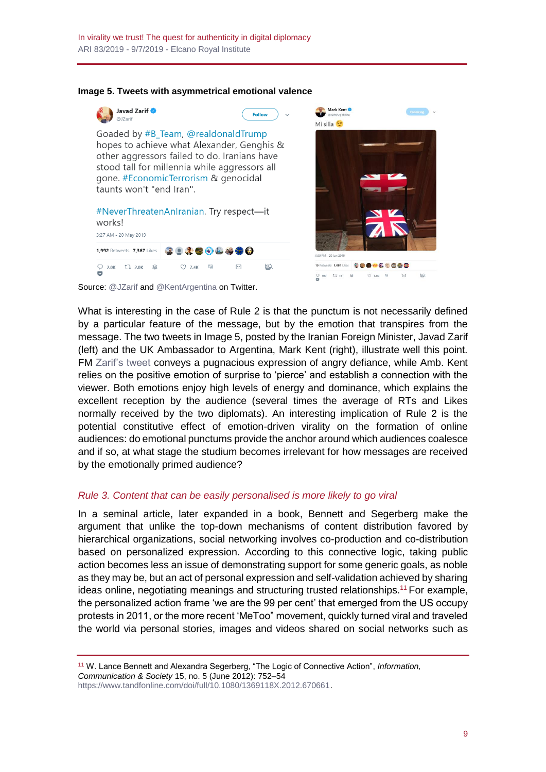

#### **Image 5. Tweets with asymmetrical emotional valence**



Source[: @JZarif](https://twitter.com/JZarif/status/1130419673756049410) and [@KentArgentina](https://twitter.com/KentArgentina/status/1141888367568834560) on Twitter.

What is interesting in the case of Rule 2 is that the punctum is not necessarily defined by a particular feature of the message, but by the emotion that transpires from the message. The two tweets in Image 5, posted by the Iranian Foreign Minister, Javad Zarif (left) and the UK Ambassador to Argentina, Mark Kent (right), illustrate well this point. FM [Zarif's tweet](https://twitter.com/JZarif/status/1130419673756049410) conveys a pugnacious expression of angry defiance, while Amb. Kent relies on the positive emotion of surprise to 'pierce' and establish a connection with the viewer. Both emotions enjoy high levels of energy and dominance, which explains the excellent reception by the audience (several times the average of RTs and Likes normally received by the two diplomats). An interesting implication of Rule 2 is the potential constitutive effect of emotion-driven virality on the formation of online audiences: do emotional punctums provide the anchor around which audiences coalesce and if so, at what stage the studium becomes irrelevant for how messages are received by the emotionally primed audience?

### *Rule 3. Content that can be easily personalised is more likely to go viral*

In a seminal article, later expanded in a book, Bennett and Segerberg make the argument that unlike the top-down mechanisms of content distribution favored by hierarchical organizations, social networking involves co-production and co-distribution based on personalized expression. According to this connective logic, taking public action becomes less an issue of demonstrating support for some generic goals, as noble as they may be, but an act of personal expression and self-validation achieved by sharing ideas online, negotiating meanings and structuring trusted relationships.<sup>11</sup> For example, the personalized action frame 'we are the 99 per cent' that emerged from the US occupy protests in 2011, or the more recent 'MeToo" movement, quickly turned viral and traveled the world via personal stories, images and videos shared on social networks such as

<sup>11</sup> W. Lance Bennett and Alexandra Segerberg, "The Logic of Connective Action", *Information, Communication & Society* 15, no. 5 (June 2012): 752–54 [https://www.tandfonline.com/doi/full/10.1080/1369118X.2012.670661.](https://www.tandfonline.com/doi/full/10.1080/1369118X.2012.670661)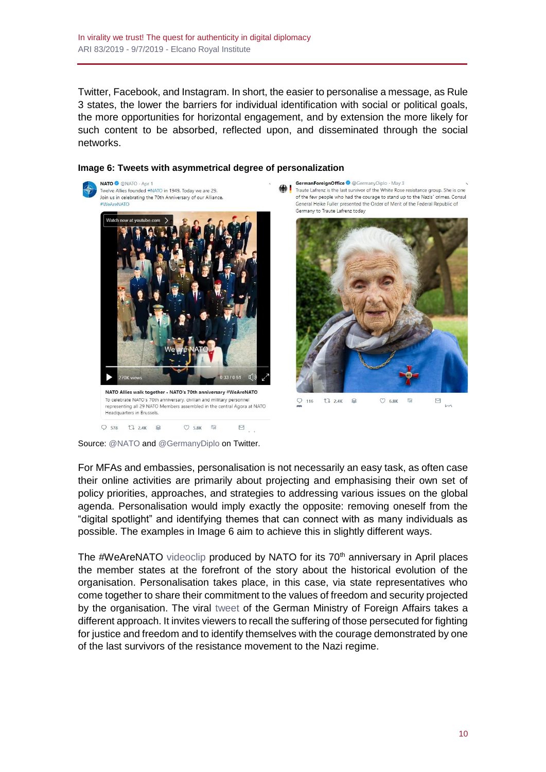Twitter, Facebook, and Instagram. In short, the easier to personalise a message, as Rule 3 states, the lower the barriers for individual identification with social or political goals, the more opportunities for horizontal engagement, and by extension the more likely for such content to be absorbed, reflected upon, and disseminated through the social networks.



#### **Image 6: Tweets with asymmetrical degree of personalization**

Traute Lafrenz is the last survivor of the White Rose resistance group. She is one of the few people who had the courage to stand up to the Nazis' crimes. Consul General Heike Fuller presented the Order of Merit of the Federal Republic of



Source: [@NATO](https://twitter.com/NATO/status/1112626155255939073) an[d @GermanyDiplo](https://twitter.com/GermanyDiplo/status/1124387860839313408) on Twitter.

For MFAs and embassies, personalisation is not necessarily an easy task, as often case their online activities are primarily about projecting and emphasising their own set of policy priorities, approaches, and strategies to addressing various issues on the global agenda. Personalisation would imply exactly the opposite: removing oneself from the "digital spotlight" and identifying themes that can connect with as many individuals as possible. The examples in Image 6 aim to achieve this in slightly different ways.

The #WeAreNATO [videoclip](https://twitter.com/NATO/status/1112626155255939073) produced by NATO for its 70<sup>th</sup> anniversary in April places the member states at the forefront of the story about the historical evolution of the organisation. Personalisation takes place, in this case, via state representatives who come together to share their commitment to the values of freedom and security projected by the organisation. The viral [tweet](https://twitter.com/GermanyDiplo/status/1124387860839313408) of the German Ministry of Foreign Affairs takes a different approach. It invites viewers to recall the suffering of those persecuted for fighting for justice and freedom and to identify themselves with the courage demonstrated by one of the last survivors of the resistance movement to the Nazi regime.